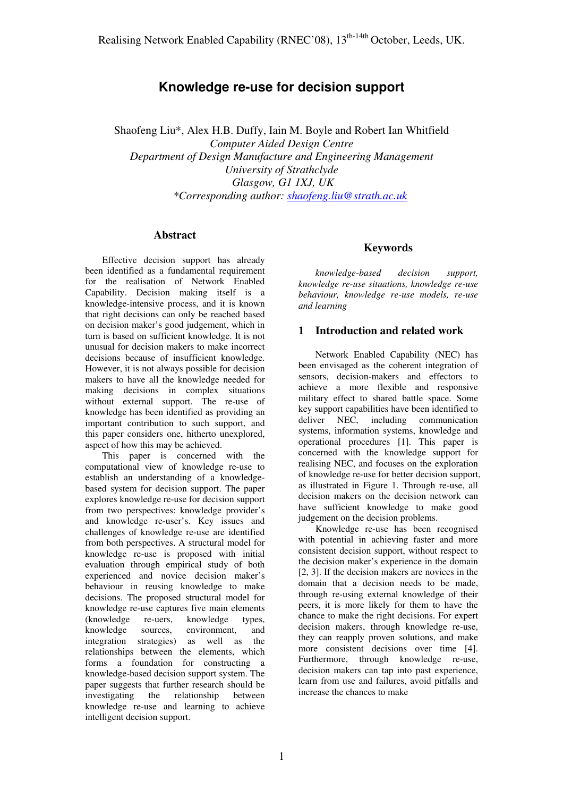# **Knowledge re-use for decision support**

Shaofeng Liu\*, Alex H.B. Duffy, Iain M. Boyle and Robert Ian Whitfield *Computer Aided Design Centre Department of Design Manufacture and Engineering Management University of Strathclyde Glasgow, G1 1XJ, UK \*Corresponding author: [shaofeng.liu@strath.ac.uk](mailto:shaofeng.liu@strath.ac.uk)*

#### **Abstract**

Effective decision support has already been identified as a fundamental requirement for the realisation of Network Enabled Capability. Decision making itself is a knowledge-intensive process, and it is known that right decisions can only be reached based on decision maker's good judgement, which in turn is based on sufficient knowledge. It is not unusual for decision makers to make incorrect decisions because of insufficient knowledge. However, it is not always possible for decision makers to have all the knowledge needed for making decisions in complex situations without external support. The re-use of knowledge has been identified as providing an important contribution to such support, and this paper considers one, hitherto unexplored, aspect of how this may be achieved.

This paper is concerned with the computational view of knowledge re-use to establish an understanding of a knowledgebased system for decision support. The paper explores knowledge re-use for decision support from two perspectives: knowledge provider's and knowledge re-user's. Key issues and challenges of knowledge re-use are identified from both perspectives. A structural model for knowledge re-use is proposed with initial evaluation through empirical study of both experienced and novice decision maker's behaviour in reusing knowledge to make decisions. The proposed structural model for knowledge re-use captures five main elements (knowledge re-uers, knowledge types,<br>knowledge sources, environment, and sources, environment, and integration strategies) as well as the relationships between the elements, which forms a foundation for constructing a knowledge-based decision support system. The paper suggests that further research should be investigating the relationship between knowledge re-use and learning to achieve intelligent decision support.

## **Keywords**

*knowledge-based decision support, knowledge re-use situations, knowledge re-use behaviour, knowledge re-use models, re-use and learning* 

### **1 Introduction and related work**

Network Enabled Capability (NEC) has been envisaged as the coherent integration of sensors, decision-makers and effectors to achieve a more flexible and responsive military effect to shared battle space. Some key support capabilities have been identified to deliver NEC, including communication systems, information systems, knowledge and operational procedures [1]. This paper is concerned with the knowledge support for realising NEC, and focuses on the exploration of knowledge re-use for better decision support, as illustrated in Figure 1. Through re-use, all decision makers on the decision network can have sufficient knowledge to make good judgement on the decision problems.

Knowledge re-use has been recognised with potential in achieving faster and more consistent decision support, without respect to the decision maker's experience in the domain [2, 3]. If the decision makers are novices in the domain that a decision needs to be made, through re-using external knowledge of their peers, it is more likely for them to have the chance to make the right decisions. For expert decision makers, through knowledge re-use, they can reapply proven solutions, and make more consistent decisions over time [4]. Furthermore, through knowledge re-use, decision makers can tap into past experience, learn from use and failures, avoid pitfalls and increase the chances to make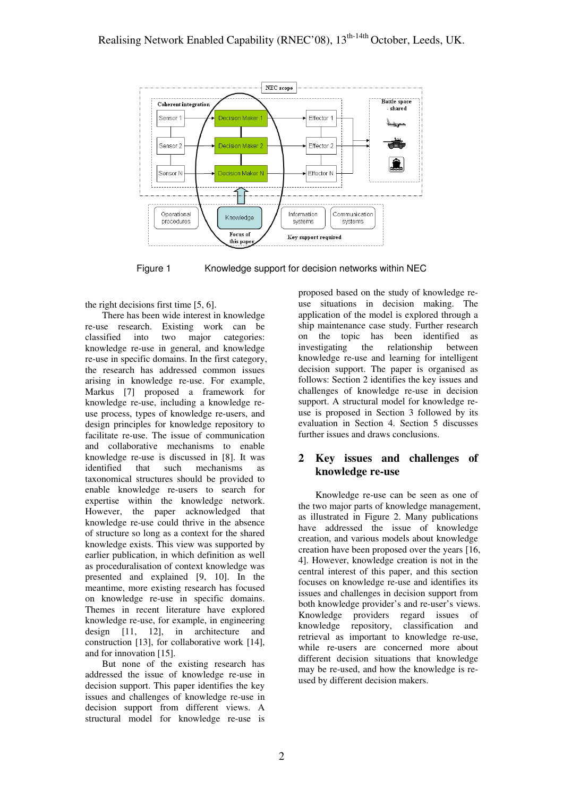

Figure 1 Knowledge support for decision networks within NEC

the right decisions first time [5, 6].

There has been wide interest in knowledge re-use research. Existing work can be classified into two major categories: knowledge re-use in general, and knowledge re-use in specific domains. In the first category, the research has addressed common issues arising in knowledge re-use. For example, Markus [7] proposed a framework for knowledge re-use, including a knowledge reuse process, types of knowledge re-users, and design principles for knowledge repository to facilitate re-use. The issue of communication and collaborative mechanisms to enable knowledge re-use is discussed in [8]. It was identified that such mechanisms as taxonomical structures should be provided to enable knowledge re-users to search for expertise within the knowledge network. However, the paper acknowledged that knowledge re-use could thrive in the absence of structure so long as a context for the shared knowledge exists. This view was supported by earlier publication, in which definition as well as proceduralisation of context knowledge was presented and explained [9, 10]. In the meantime, more existing research has focused on knowledge re-use in specific domains. Themes in recent literature have explored knowledge re-use, for example, in engineering design [11, 12], in architecture and construction [13], for collaborative work [14], and for innovation [15].

But none of the existing research has addressed the issue of knowledge re-use in decision support. This paper identifies the key issues and challenges of knowledge re-use in decision support from different views. A structural model for knowledge re-use is

proposed based on the study of knowledge reuse situations in decision making. The application of the model is explored through a ship maintenance case study. Further research on the topic has been identified as investigating the relationship between knowledge re-use and learning for intelligent decision support. The paper is organised as follows: Section 2 identifies the key issues and challenges of knowledge re-use in decision support. A structural model for knowledge reuse is proposed in Section 3 followed by its evaluation in Section 4. Section 5 discusses further issues and draws conclusions.

### **2 Key issues and challenges of knowledge re-use**

Knowledge re-use can be seen as one of the two major parts of knowledge management, as illustrated in Figure 2. Many publications have addressed the issue of knowledge creation, and various models about knowledge creation have been proposed over the years [16, 4]. However, knowledge creation is not in the central interest of this paper, and this section focuses on knowledge re-use and identifies its issues and challenges in decision support from both knowledge provider's and re-user's views. Knowledge providers regard issues of knowledge repository, classification and retrieval as important to knowledge re-use, while re-users are concerned more about different decision situations that knowledge may be re-used, and how the knowledge is reused by different decision makers.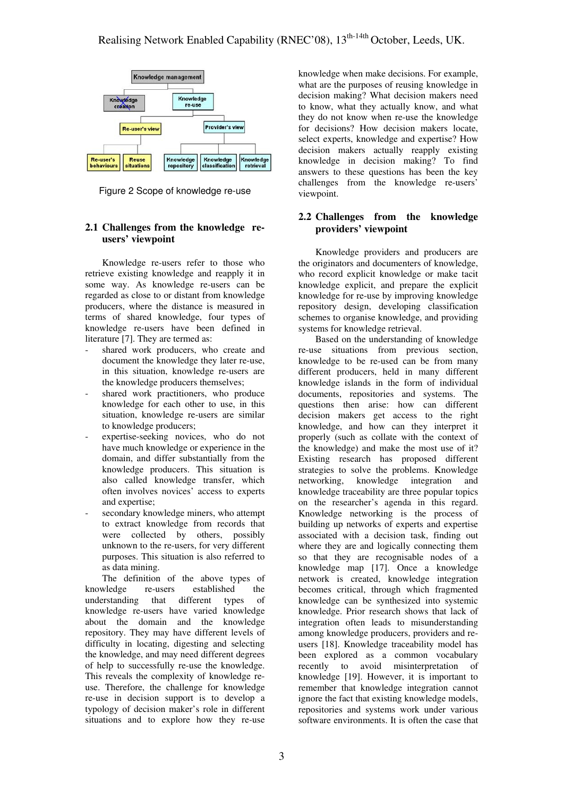

Figure 2 Scope of knowledge re-use

#### **2.1 Challenges from the knowledge reusers' viewpoint**

Knowledge re-users refer to those who retrieve existing knowledge and reapply it in some way. As knowledge re-users can be regarded as close to or distant from knowledge producers, where the distance is measured in terms of shared knowledge, four types of knowledge re-users have been defined in literature [7]. They are termed as:

- shared work producers, who create and document the knowledge they later re-use, in this situation, knowledge re-users are the knowledge producers themselves;
- shared work practitioners, who produce knowledge for each other to use, in this situation, knowledge re-users are similar to knowledge producers;
- expertise-seeking novices, who do not have much knowledge or experience in the domain, and differ substantially from the knowledge producers. This situation is also called knowledge transfer, which often involves novices' access to experts and expertise;
- secondary knowledge miners, who attempt to extract knowledge from records that were collected by others, possibly unknown to the re-users, for very different purposes. This situation is also referred to as data mining.

The definition of the above types of knowledge re-users established the understanding that different types of knowledge re-users have varied knowledge about the domain and the knowledge repository. They may have different levels of difficulty in locating, digesting and selecting the knowledge, and may need different degrees of help to successfully re-use the knowledge. This reveals the complexity of knowledge reuse. Therefore, the challenge for knowledge re-use in decision support is to develop a typology of decision maker's role in different situations and to explore how they re-use

knowledge when make decisions. For example, what are the purposes of reusing knowledge in decision making? What decision makers need to know, what they actually know, and what they do not know when re-use the knowledge for decisions? How decision makers locate, select experts, knowledge and expertise? How decision makers actually reapply existing knowledge in decision making? To find answers to these questions has been the key challenges from the knowledge re-users' viewpoint.

#### **2.2 Challenges from the knowledge providers' viewpoint**

Knowledge providers and producers are the originators and documenters of knowledge, who record explicit knowledge or make tacit knowledge explicit, and prepare the explicit knowledge for re-use by improving knowledge repository design, developing classification schemes to organise knowledge, and providing systems for knowledge retrieval.

Based on the understanding of knowledge re-use situations from previous section, knowledge to be re-used can be from many different producers, held in many different knowledge islands in the form of individual documents, repositories and systems. The questions then arise: how can different decision makers get access to the right knowledge, and how can they interpret it properly (such as collate with the context of the knowledge) and make the most use of it? Existing research has proposed different strategies to solve the problems. Knowledge networking, knowledge integration and knowledge traceability are three popular topics on the researcher's agenda in this regard. Knowledge networking is the process of building up networks of experts and expertise associated with a decision task, finding out where they are and logically connecting them so that they are recognisable nodes of a knowledge map [17]. Once a knowledge network is created, knowledge integration becomes critical, through which fragmented knowledge can be synthesized into systemic knowledge. Prior research shows that lack of integration often leads to misunderstanding among knowledge producers, providers and reusers [18]. Knowledge traceability model has been explored as a common vocabulary recently to avoid misinterpretation of knowledge [19]. However, it is important to remember that knowledge integration cannot ignore the fact that existing knowledge models, repositories and systems work under various software environments. It is often the case that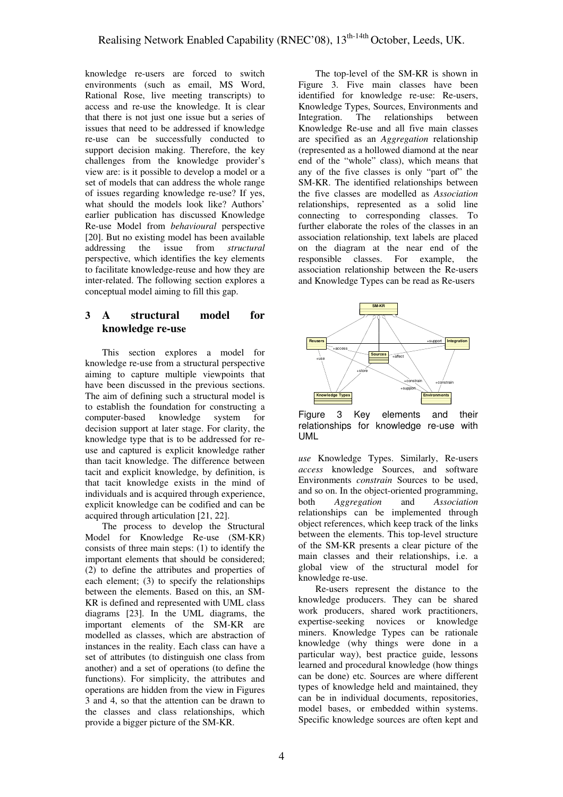knowledge re-users are forced to switch environments (such as email, MS Word, Rational Rose, live meeting transcripts) to access and re-use the knowledge. It is clear that there is not just one issue but a series of issues that need to be addressed if knowledge re-use can be successfully conducted to support decision making. Therefore, the key challenges from the knowledge provider's view are: is it possible to develop a model or a set of models that can address the whole range of issues regarding knowledge re-use? If yes, what should the models look like? Authors' earlier publication has discussed Knowledge Re-use Model from *behavioural* perspective [20]. But no existing model has been available addressing the issue from *structural* perspective, which identifies the key elements to facilitate knowledge-reuse and how they are inter-related. The following section explores a conceptual model aiming to fill this gap.

## **3 A structural model for knowledge re-use**

This section explores a model for knowledge re-use from a structural perspective aiming to capture multiple viewpoints that have been discussed in the previous sections. The aim of defining such a structural model is to establish the foundation for constructing a computer-based knowledge system for decision support at later stage. For clarity, the knowledge type that is to be addressed for reuse and captured is explicit knowledge rather than tacit knowledge. The difference between tacit and explicit knowledge, by definition, is that tacit knowledge exists in the mind of individuals and is acquired through experience, explicit knowledge can be codified and can be acquired through articulation [21, 22].

The process to develop the Structural Model for Knowledge Re-use (SM-KR) consists of three main steps: (1) to identify the important elements that should be considered; (2) to define the attributes and properties of each element; (3) to specify the relationships between the elements. Based on this, an SM-KR is defined and represented with UML class diagrams [23]. In the UML diagrams, the important elements of the SM-KR are modelled as classes, which are abstraction of instances in the reality. Each class can have a set of attributes (to distinguish one class from another) and a set of operations (to define the functions). For simplicity, the attributes and operations are hidden from the view in Figures 3 and 4, so that the attention can be drawn to the classes and class relationships, which provide a bigger picture of the SM-KR.

The top-level of the SM-KR is shown in Figure 3. Five main classes have been identified for knowledge re-use: Re-users, Knowledge Types, Sources, Environments and Integration. The relationships between Knowledge Re-use and all five main classes are specified as an *Aggregation* relationship (represented as a hollowed diamond at the near end of the "whole" class), which means that any of the five classes is only "part of" the SM-KR. The identified relationships between the five classes are modelled as *Association* relationships, represented as a solid line connecting to corresponding classes. To further elaborate the roles of the classes in an association relationship, text labels are placed on the diagram at the near end of the responsible classes. For example, the association relationship between the Re-users and Knowledge Types can be read as Re-users



Figure 3 Key elements and their relationships for knowledge re-use with UML

*use* Knowledge Types. Similarly, Re-users *access* knowledge Sources, and software Environments *constrain* Sources to be used, and so on. In the object-oriented programming, both *Aggregation* and *Association* relationships can be implemented through object references, which keep track of the links between the elements. This top-level structure of the SM-KR presents a clear picture of the main classes and their relationships, i.e. a global view of the structural model for knowledge re-use.

Re-users represent the distance to the knowledge producers. They can be shared work producers, shared work practitioners, expertise-seeking novices or knowledge miners. Knowledge Types can be rationale knowledge (why things were done in a particular way), best practice guide, lessons learned and procedural knowledge (how things can be done) etc. Sources are where different types of knowledge held and maintained, they can be in individual documents, repositories, model bases, or embedded within systems. Specific knowledge sources are often kept and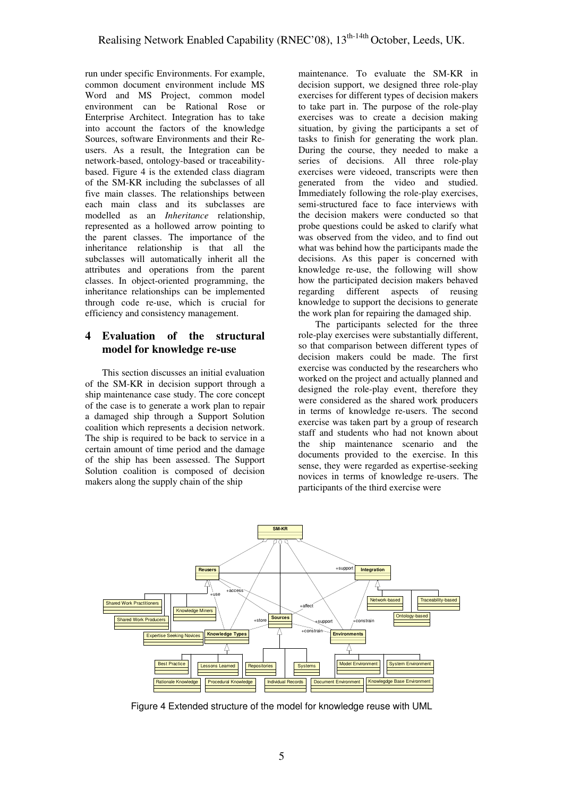run under specific Environments. For example, common document environment include MS Word and MS Project, common model environment can be Rational Rose or Enterprise Architect. Integration has to take into account the factors of the knowledge Sources, software Environments and their Reusers. As a result, the Integration can be network-based, ontology-based or traceabilitybased. Figure 4 is the extended class diagram of the SM-KR including the subclasses of all five main classes. The relationships between each main class and its subclasses are modelled as an *Inheritance* relationship, represented as a hollowed arrow pointing to the parent classes. The importance of the inheritance relationship is that all the subclasses will automatically inherit all the attributes and operations from the parent classes. In object-oriented programming, the inheritance relationships can be implemented through code re-use, which is crucial for efficiency and consistency management.

## **4 Evaluation of the structural model for knowledge re-use**

This section discusses an initial evaluation of the SM-KR in decision support through a ship maintenance case study. The core concept of the case is to generate a work plan to repair a damaged ship through a Support Solution coalition which represents a decision network. The ship is required to be back to service in a certain amount of time period and the damage of the ship has been assessed. The Support Solution coalition is composed of decision makers along the supply chain of the ship

maintenance. To evaluate the SM-KR in decision support, we designed three role-play exercises for different types of decision makers to take part in. The purpose of the role-play exercises was to create a decision making situation, by giving the participants a set of tasks to finish for generating the work plan. During the course, they needed to make a series of decisions. All three role-play exercises were videoed, transcripts were then generated from the video and studied. Immediately following the role-play exercises, semi-structured face to face interviews with the decision makers were conducted so that probe questions could be asked to clarify what was observed from the video, and to find out what was behind how the participants made the decisions. As this paper is concerned with knowledge re-use, the following will show how the participated decision makers behaved regarding different aspects of reusing knowledge to support the decisions to generate the work plan for repairing the damaged ship.

The participants selected for the three role-play exercises were substantially different, so that comparison between different types of decision makers could be made. The first exercise was conducted by the researchers who worked on the project and actually planned and designed the role-play event, therefore they were considered as the shared work producers in terms of knowledge re-users. The second exercise was taken part by a group of research staff and students who had not known about the ship maintenance scenario and the documents provided to the exercise. In this sense, they were regarded as expertise-seeking novices in terms of knowledge re-users. The participants of the third exercise were



Figure 4 Extended structure of the model for knowledge reuse with UML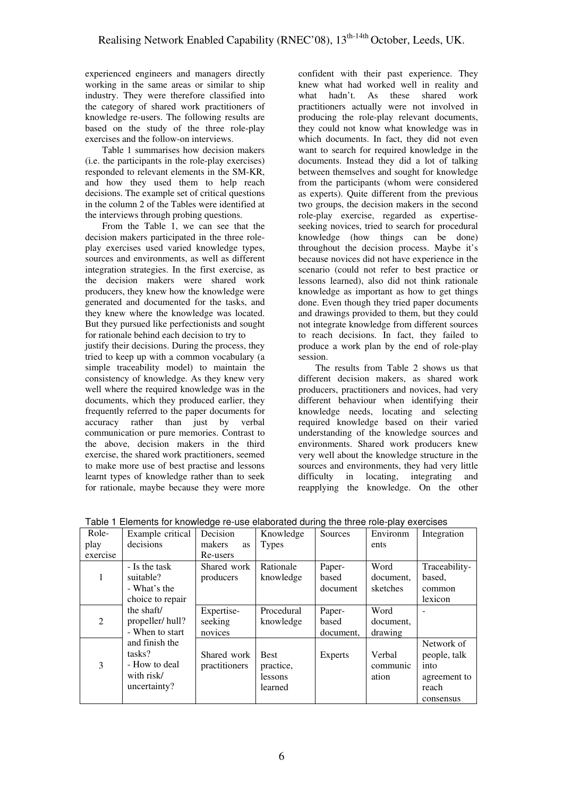experienced engineers and managers directly working in the same areas or similar to ship industry. They were therefore classified into the category of shared work practitioners of knowledge re-users. The following results are based on the study of the three role-play exercises and the follow-on interviews.

Table 1 summarises how decision makers (i.e. the participants in the role-play exercises) responded to relevant elements in the SM-KR, and how they used them to help reach decisions. The example set of critical questions in the column 2 of the Tables were identified at the interviews through probing questions.

From the Table 1, we can see that the decision makers participated in the three roleplay exercises used varied knowledge types, sources and environments, as well as different integration strategies. In the first exercise, as the decision makers were shared work producers, they knew how the knowledge were generated and documented for the tasks, and they knew where the knowledge was located. But they pursued like perfectionists and sought for rationale behind each decision to try to

justify their decisions. During the process, they tried to keep up with a common vocabulary (a simple traceability model) to maintain the consistency of knowledge. As they knew very well where the required knowledge was in the documents, which they produced earlier, they frequently referred to the paper documents for accuracy rather than just by verbal communication or pure memories. Contrast to the above, decision makers in the third exercise, the shared work practitioners, seemed to make more use of best practise and lessons learnt types of knowledge rather than to seek for rationale, maybe because they were more

confident with their past experience. They knew what had worked well in reality and what hadn't. As these shared work practitioners actually were not involved in producing the role-play relevant documents, they could not know what knowledge was in which documents. In fact, they did not even want to search for required knowledge in the documents. Instead they did a lot of talking between themselves and sought for knowledge from the participants (whom were considered as experts). Quite different from the previous two groups, the decision makers in the second role-play exercise, regarded as expertiseseeking novices, tried to search for procedural knowledge (how things can be done) throughout the decision process. Maybe it's because novices did not have experience in the scenario (could not refer to best practice or lessons learned), also did not think rationale knowledge as important as how to get things done. Even though they tried paper documents and drawings provided to them, but they could not integrate knowledge from different sources to reach decisions. In fact, they failed to produce a work plan by the end of role-play session.

The results from Table 2 shows us that different decision makers, as shared work producers, practitioners and novices, had very different behaviour when identifying their knowledge needs, locating and selecting required knowledge based on their varied understanding of the knowledge sources and environments. Shared work producers knew very well about the knowledge structure in the sources and environments, they had very little difficulty in locating, integrating and reapplying the knowledge. On the other

| Role-    | Example critical | Decision            | Knowledge    | Sources   | Environm  | Integration   |
|----------|------------------|---------------------|--------------|-----------|-----------|---------------|
| play     | decisions        | makers<br><b>as</b> | <b>Types</b> |           | ents      |               |
| exercise |                  | Re-users            |              |           |           |               |
|          | - Is the task    | Shared work         | Rationale    | Paper-    | Word      | Traceability- |
| 1        | suitable?        | producers           | knowledge    | based     | document, | based,        |
|          | - What's the     |                     |              | document  | sketches  | common        |
|          | choice to repair |                     |              |           |           | lexicon       |
|          | the shaft/       | Expertise-          | Procedural   | Paper-    | Word      |               |
| 2        | propeller/hull?  | seeking             | knowledge    | based     | document, |               |
|          | - When to start  | novices             |              | document, | drawing   |               |
|          | and finish the   |                     |              |           |           | Network of    |
|          | tasks?           | Shared work         | <b>Best</b>  | Experts   | Verbal    | people, talk  |
| 3        | - How to deal    | practitioners       | practice,    |           | communic  | into          |
|          | with risk/       |                     | lessons      |           | ation     | agreement to  |
|          | uncertainty?     |                     | learned      |           |           | reach         |
|          |                  |                     |              |           |           | consensus     |

Table 1 Elements for knowledge re-use elaborated during the three role-play exercises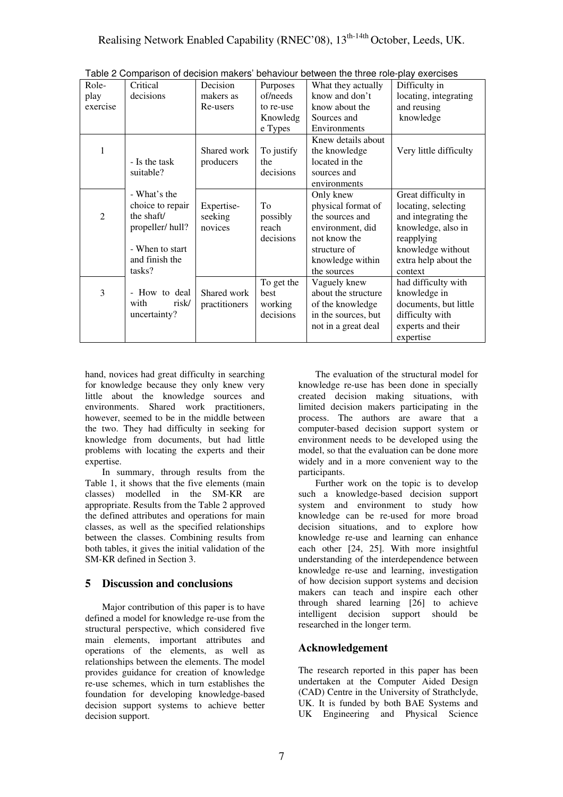| Role-          | Critical         | Decision      | Purposes   | What they actually  | Difficulty in          |
|----------------|------------------|---------------|------------|---------------------|------------------------|
| play           | decisions        | makers as     | of/needs   | know and don't      | locating, integrating  |
| exercise       |                  | Re-users      | to re-use  | know about the      | and reusing            |
|                |                  |               | Knowledg   | Sources and         | knowledge              |
|                |                  |               | e Types    | Environments        |                        |
|                |                  |               |            | Knew details about  |                        |
| 1              |                  | Shared work   | To justify | the knowledge       | Very little difficulty |
|                | - Is the task    | producers     | the        | located in the      |                        |
|                | suitable?        |               | decisions  | sources and         |                        |
|                |                  |               |            | environments        |                        |
|                | - What's the     |               |            | Only knew           | Great difficulty in    |
|                | choice to repair | Expertise-    | To         | physical format of  | locating, selecting    |
| $\overline{2}$ | the shaft/       | seeking       | possibly   | the sources and     | and integrating the    |
|                | propeller/hull?  | novices       | reach      | environment, did    | knowledge, also in     |
|                |                  |               | decisions  | not know the        | reapplying             |
|                | - When to start  |               |            | structure of        | knowledge without      |
|                | and finish the   |               |            | knowledge within    | extra help about the   |
|                | tasks?           |               |            | the sources         | context                |
|                |                  |               | To get the | Vaguely knew        | had difficulty with    |
| 3              | - How to deal    | Shared work   | best       | about the structure | knowledge in           |
|                | with<br>risk/    | practitioners | working    | of the knowledge    | documents, but little  |
|                | uncertainty?     |               | decisions  | in the sources, but | difficulty with        |
|                |                  |               |            | not in a great deal | experts and their      |
|                |                  |               |            |                     | expertise              |

Table 2 Comparison of decision makers' behaviour between the three role-play exercises

hand, novices had great difficulty in searching for knowledge because they only knew very little about the knowledge sources and environments. Shared work practitioners, however, seemed to be in the middle between the two. They had difficulty in seeking for knowledge from documents, but had little problems with locating the experts and their expertise.

In summary, through results from the Table 1, it shows that the five elements (main classes) modelled in the SM-KR are appropriate. Results from the Table 2 approved the defined attributes and operations for main classes, as well as the specified relationships between the classes. Combining results from both tables, it gives the initial validation of the SM-KR defined in Section 3.

## **5 Discussion and conclusions**

Major contribution of this paper is to have defined a model for knowledge re-use from the structural perspective, which considered five main elements, important attributes and operations of the elements, as well as relationships between the elements. The model provides guidance for creation of knowledge re-use schemes, which in turn establishes the foundation for developing knowledge-based decision support systems to achieve better decision support.

The evaluation of the structural model for knowledge re-use has been done in specially created decision making situations, with limited decision makers participating in the process. The authors are aware that a computer-based decision support system or environment needs to be developed using the model, so that the evaluation can be done more widely and in a more convenient way to the participants.

Further work on the topic is to develop such a knowledge-based decision support system and environment to study how knowledge can be re-used for more broad decision situations, and to explore how knowledge re-use and learning can enhance each other [24, 25]. With more insightful understanding of the interdependence between knowledge re-use and learning, investigation of how decision support systems and decision makers can teach and inspire each other through shared learning [26] to achieve intelligent decision support should be researched in the longer term.

## **Acknowledgement**

The research reported in this paper has been undertaken at the Computer Aided Design (CAD) Centre in the University of Strathclyde, UK. It is funded by both BAE Systems and UK Engineering and Physical Science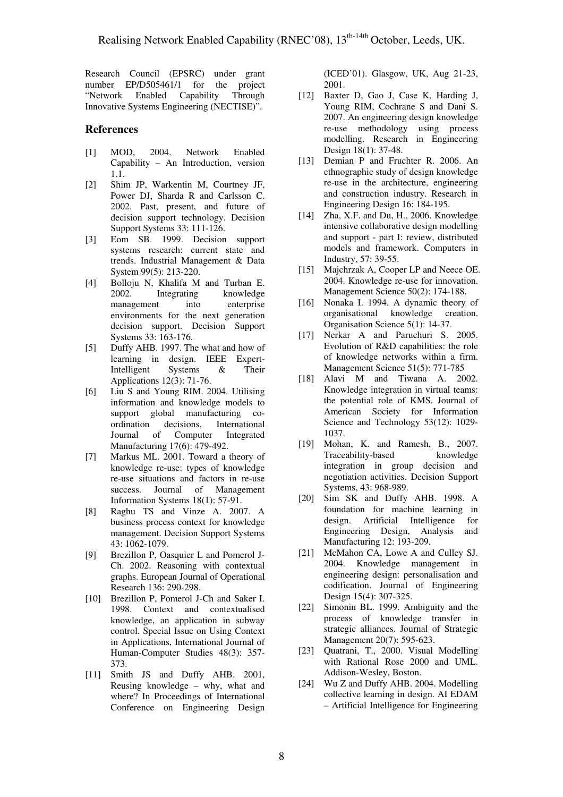Research Council (EPSRC) under grant number EP/D505461/1 for the project "Network Enabled Capability Through Innovative Systems Engineering (NECTISE)".

#### **References**

- [1] MOD, 2004. Network Enabled Capability – An Introduction, version 1.1.
- [2] Shim JP, Warkentin M, Courtney JF, Power DJ, Sharda R and Carlsson C. 2002. Past, present, and future of decision support technology. Decision Support Systems 33: 111-126.
- [3] Eom SB. 1999. Decision support systems research: current state and trends. Industrial Management & Data System 99(5): 213-220.
- [4] Bolloju N, Khalifa M and Turban E. Integrating knowledge<br>tt into enterprise management environments for the next generation decision support. Decision Support Systems 33: 163-176.
- [5] Duffy AHB. 1997. The what and how of learning in design. IEEE Expert-Intelligent Systems & Their Applications 12(3): 71-76.
- [6] Liu S and Young RIM. 2004. Utilising information and knowledge models to support global manufacturing co-<br>ordination decisions. International decisions. International Journal of Computer Integrated Manufacturing 17(6): 479-492.
- [7] Markus ML. 2001. Toward a theory of knowledge re-use: types of knowledge re-use situations and factors in re-use success. Journal of Management Information Systems 18(1): 57-91.
- [8] Raghu TS and Vinze A. 2007. A business process context for knowledge management. Decision Support Systems 43: 1062-1079.
- [9] Brezillon P, Oasquier L and Pomerol J-Ch. 2002. Reasoning with contextual graphs. European Journal of Operational Research 136: 290-298.
- [10] Brezillon P, Pomerol J-Ch and Saker I. 1998. Context and contextualised knowledge, an application in subway control. Special Issue on Using Context in Applications, International Journal of Human-Computer Studies 48(3): 357- 373.
- [11] Smith JS and Duffy AHB. 2001, Reusing knowledge – why, what and where? In Proceedings of International Conference on Engineering Design

(ICED'01). Glasgow, UK, Aug 21-23, 2001.

- [12] Baxter D, Gao J, Case K, Harding J, Young RIM, Cochrane S and Dani S. 2007. An engineering design knowledge re-use methodology using process modelling. Research in Engineering Design 18(1): 37-48.
- [13] Demian P and Fruchter R. 2006. An ethnographic study of design knowledge re-use in the architecture, engineering and construction industry. Research in Engineering Design 16: 184-195.
- [14] Zha, X.F. and Du, H., 2006. Knowledge intensive collaborative design modelling and support - part I: review, distributed models and framework. Computers in Industry, 57: 39-55.
- [15] Majchrzak A, Cooper LP and Neece OE. 2004. Knowledge re-use for innovation. Management Science 50(2): 174-188.
- [16] Nonaka I. 1994. A dynamic theory of organisational knowledge creation. Organisation Science 5(1): 14-37.
- [17] [Nerkar A](http://apps.isiknowledge.com/OneClickSearch.do?product=UA&search_mode=OneClickSearch&doc=4&db_id=&SID=P2FF3ncicLcdlKElhlF&field=AU&value=Nerkar%20A&ut=000229692000007&pos=1) and [Paruchuri S](http://apps.isiknowledge.com/OneClickSearch.do?product=UA&search_mode=OneClickSearch&doc=4&db_id=&SID=P2FF3ncicLcdlKElhlF&field=AU&value=Paruchuri%20S&ut=000229692000007&pos=2). 2005. Evolution of R&D capabilities: the role of knowledge networks within a firm. Management Science 51(5): 771-785
- [18] Alavi M and Tiwana A. 2002. Knowledge integration in virtual teams: the potential role of KMS. Journal of American Society for Information Science and Technology 53(12): 1029-1037.
- [19] Mohan, K. and Ramesh, B., 2007. Traceability-based knowledge integration in group decision and negotiation activities. Decision Support Systems, 43: 968-989.
- [20] Sim SK and Duffy AHB. 1998. A foundation for machine learning in design. Artificial Intelligence for Engineering Design, Analysis and Manufacturing 12: 193-209.
- [21] McMahon CA, Lowe A and Culley SJ. 2004. Knowledge management in engineering design: personalisation and codification. Journal of Engineering Design 15(4): 307-325.
- [22] Simonin BL. 1999. Ambiguity and the process of knowledge transfer in strategic alliances. Journal of Strategic Management 20(7): 595-623.
- [23] Ouatrani, T., 2000. Visual Modelling with Rational Rose 2000 and UML. Addison-Wesley, Boston.
- [24] Wu Z and Duffy AHB. 2004. Modelling collective learning in design. AI EDAM – Artificial Intelligence for Engineering